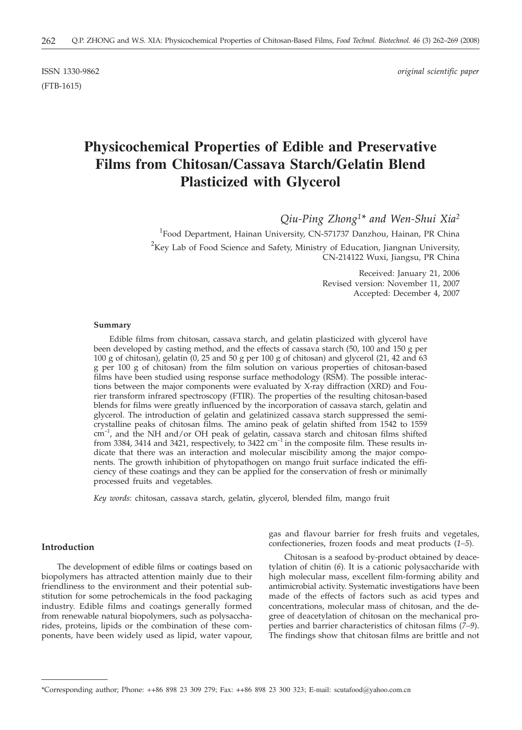(FTB-1615)

ISSN 1330-9862 *original scientific paper*

# **Physicochemical Properties of Edible and Preservative Films from Chitosan/Cassava Starch/Gelatin Blend Plasticized with Glycerol**

*Qiu-Ping Zhong1\* and Wen-Shui Xia2*

<sup>1</sup> Food Department, Hainan University, CN-571737 Danzhou, Hainan, PR China  $^{2}$ Key Lab of Food Science and Safety, Ministry of Education, Jiangnan University, CN-214122 Wuxi, Jiangsu, PR China

> Received: January 21, 2006 Revised version: November 11, 2007 Accepted: December 4, 2007

#### **Summary**

Edible films from chitosan, cassava starch, and gelatin plasticized with glycerol have been developed by casting method, and the effects of cassava starch (50, 100 and 150 g per 100 g of chitosan), gelatin (0, 25 and 50 g per 100 g of chitosan) and glycerol (21, 42 and 63 g per 100 g of chitosan) from the film solution on various properties of chitosan-based films have been studied using response surface methodology (RSM). The possible interactions between the major components were evaluated by X-ray diffraction (XRD) and Fourier transform infrared spectroscopy (FTIR). The properties of the resulting chitosan-based blends for films were greatly influenced by the incorporation of cassava starch, gelatin and glycerol. The introduction of gelatin and gelatinized cassava starch suppressed the semicrystalline peaks of chitosan films. The amino peak of gelatin shifted from 1542 to 1559 cm<sup>-1</sup>, and the NH and/or OH peak of gelatin, cassava starch and chitosan films shifted from 3384, 3414 and 3421, respectively, to 3422  $cm^{-1}$  in the composite film. These results indicate that there was an interaction and molecular miscibility among the major components. The growth inhibition of phytopathogen on mango fruit surface indicated the efficiency of these coatings and they can be applied for the conservation of fresh or minimally processed fruits and vegetables.

*Key words*: chitosan, cassava starch, gelatin, glycerol, blended film, mango fruit

# **Introduction**

The development of edible films or coatings based on biopolymers has attracted attention mainly due to their friendliness to the environment and their potential substitution for some petrochemicals in the food packaging industry. Edible films and coatings generally formed from renewable natural biopolymers, such as polysaccharides, proteins, lipids or the combination of these components, have been widely used as lipid, water vapour, gas and flavour barrier for fresh fruits and vegetales, confectioneries, frozen foods and meat products (*1–5*).

Chitosan is a seafood by-product obtained by deacetylation of chitin (*6*)*.* It is a cationic polysaccharide with high molecular mass, excellent film-forming ability and antimicrobial activity. Systematic investigations have been made of the effects of factors such as acid types and concentrations, molecular mass of chitosan, and the degree of deacetylation of chitosan on the mechanical properties and barrier characteristics of chitosan films (*7–9*). The findings show that chitosan films are brittle and not

<sup>\*</sup>Corresponding author; Phone: ++86 898 23 309 279; Fax: ++86 898 23 300 323; E-mail: scutafood@yahoo.com.cn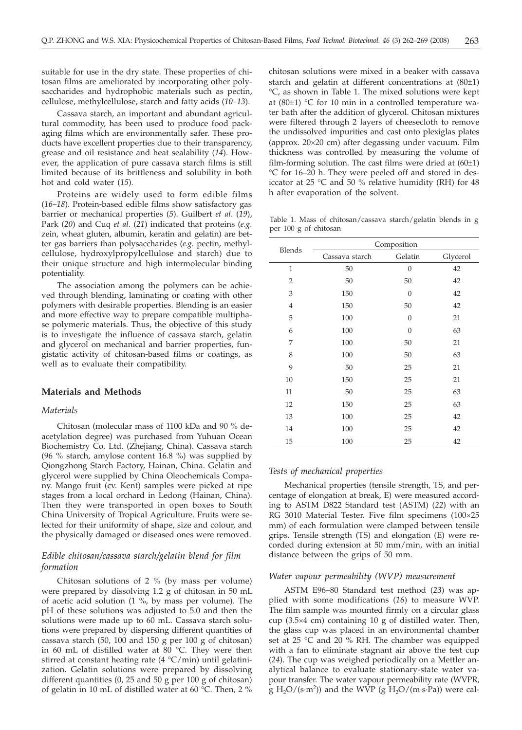suitable for use in the dry state. These properties of chitosan films are ameliorated by incorporating other polysaccharides and hydrophobic materials such as pectin, cellulose, methylcellulose, starch and fatty acids (*10–13*).

Cassava starch, an important and abundant agricultural commodity, has been used to produce food packaging films which are environmentally safer. These products have excellent properties due to their transparency, grease and oil resistance and heat sealability (*14*). However, the application of pure cassava starch films is still limited because of its brittleness and solubility in both hot and cold water (*15*).

Proteins are widely used to form edible films (*16–18*). Protein-based edible films show satisfactory gas barrier or mechanical properties (*5*). Guilbert *et al*. (*19*), Park (*20*) and Cuq *et al*. (*21*) indicated that proteins (*e.g.* zein, wheat gluten, albumin, keratin and gelatin) are better gas barriers than polysaccharides (*e.g.* pectin, methylcellulose, hydroxylpropylcellulose and starch) due to their unique structure and high intermolecular binding potentiality.

The association among the polymers can be achieved through blending, laminating or coating with other polymers with desirable properties. Blending is an easier and more effective way to prepare compatible multiphase polymeric materials. Thus, the objective of this study is to investigate the influence of cassava starch, gelatin and glycerol on mechanical and barrier properties, fungistatic activity of chitosan-based films or coatings, as well as to evaluate their compatibility.

# **Materials and Methods**

#### *Materials*

Chitosan (molecular mass of 1100 kDa and 90 % deacetylation degree) was purchased from Yuhuan Ocean Biochemistry Co. Ltd. (Zhejiang, China). Cassava starch (96 % starch, amylose content 16.8 %) was supplied by Qiongzhong Starch Factory, Hainan, China. Gelatin and glycerol were supplied by China Oleochemicals Company. Mango fruit (cv. Kent) samples were picked at ripe stages from a local orchard in Ledong (Hainan, China). Then they were transported in open boxes to South China University of Tropical Agriculture. Fruits were selected for their uniformity of shape, size and colour, and the physically damaged or diseased ones were removed.

# *Edible chitosan/cassava starch/gelatin blend for film formation*

Chitosan solutions of 2 % (by mass per volume) were prepared by dissolving 1.2 g of chitosan in 50 mL of acetic acid solution (1 %, by mass per volume). The pH of these solutions was adjusted to 5.0 and then the solutions were made up to 60 mL. Cassava starch solutions were prepared by dispersing different quantities of cassava starch (50, 100 and 150 g per 100 g of chitosan) in 60 mL of distilled water at  $80^{\circ}$ C. They were then stirred at constant heating rate  $(4 \degree C/min)$  until gelatinization. Gelatin solutions were prepared by dissolving different quantities (0, 25 and 50 g per 100 g of chitosan) of gelatin in 10 mL of distilled water at 60 °C. Then, 2 %

chitosan solutions were mixed in a beaker with cassava starch and gelatin at different concentrations at (80±1) °C, as shown in Table 1. The mixed solutions were kept at (80±1) °C for 10 min in a controlled temperature water bath after the addition of glycerol. Chitosan mixtures were filtered through 2 layers of cheesecloth to remove the undissolved impurities and cast onto plexiglas plates (approx. 20-20 cm) after degassing under vacuum. Film thickness was controlled by measuring the volume of film-forming solution. The cast films were dried at  $(60\pm1)$ °C for 16–20 h. They were peeled off and stored in desiccator at 25  $\degree$ C and 50 % relative humidity (RH) for 48 h after evaporation of the solvent.

Table 1. Mass of chitosan/cassava starch/gelatin blends in g per 100 g of chitosan

|                | Composition    |                  |          |  |
|----------------|----------------|------------------|----------|--|
| Blends         | Cassava starch | Gelatin          | Glycerol |  |
| $\mathbf{1}$   | 50             | $\mathbf{0}$     | 42       |  |
| $\overline{2}$ | 50             | 50               | 42       |  |
| 3              | 150            | $\boldsymbol{0}$ | 42       |  |
| $\overline{4}$ | 150            | 50               | 42       |  |
| 5              | 100            | $\theta$         | 21       |  |
| 6              | 100            | $\theta$         | 63       |  |
| 7              | 100            | 50               | 21       |  |
| 8              | 100            | 50               | 63       |  |
| 9              | 50             | 25               | 21       |  |
| 10             | 150            | 25               | 21       |  |
| 11             | 50             | 25               | 63       |  |
| 12             | 150            | 25               | 63       |  |
| 13             | 100            | 25               | 42       |  |
| 14             | 100            | 25               | 42       |  |
| 15             | 100            | 25               | 42       |  |

#### *Tests of mechanical properties*

Mechanical properties (tensile strength, TS, and percentage of elongation at break, E) were measured according to ASTM D822 Standard test (ASTM) (*22*) with an RG 3010 Material Tester. Five film specimens (100×25 mm) of each formulation were clamped between tensile grips. Tensile strength (TS) and elongation (E) were recorded during extension at 50 mm/min, with an initial distance between the grips of 50 mm.

#### *Water vapour permeability (WVP) measurement*

ASTM E96–80 Standard test method (*23*) was applied with some modifications (*16*) to measure WVP. The film sample was mounted firmly on a circular glass cup (3.5-4 cm) containing 10 g of distilled water. Then, the glass cup was placed in an environmental chamber set at 25 °C and 20 % RH. The chamber was equipped with a fan to eliminate stagnant air above the test cup (*24*). The cup was weighed periodically on a Mettler analytical balance to evaluate stationary-state water vapour transfer. The water vapour permeability rate (WVPR,  $\tilde{g}$  H<sub>2</sub>O/(s·m<sup>2</sup>)) and the WVP ( $\tilde{g}$  H<sub>2</sub>O/(m·s·Pa)) were cal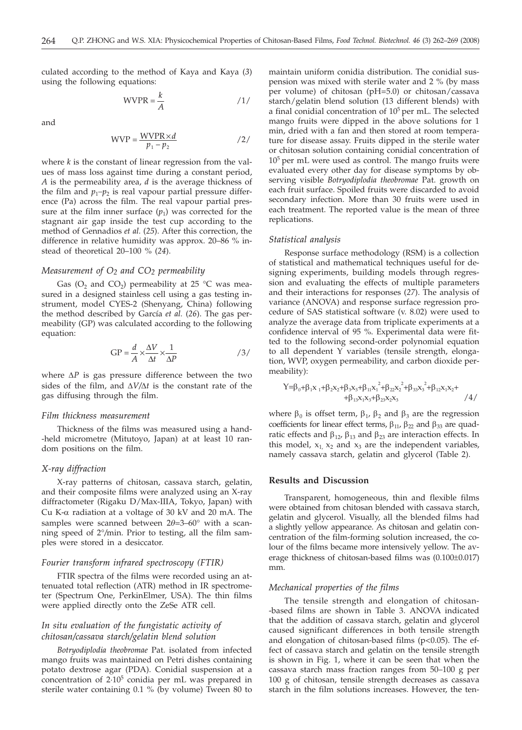culated according to the method of Kaya and Kaya (*3*) using the following equations:

$$
WVPR = \frac{k}{A}
$$
 /1/

and

$$
WVP = \frac{WVPR \times d}{p_1 - p_2} \qquad \qquad /2/
$$

where *k* is the constant of linear regression from the values of mass loss against time during a constant period, *A* is the permeability area, *d* is the average thickness of the film and  $p_1-p_2$  is real vapour partial pressure difference (Pa) across the film. The real vapour partial pressure at the film inner surface  $(p_1)$  was corrected for the stagnant air gap inside the test cup according to the method of Gennadios *et al.* (*25*). After this correction, the difference in relative humidity was approx. 20–86 % instead of theoretical 20–100 % (*24*).

#### *Measurement of O2 and CO2 permeability*

Gas (O<sub>2</sub> and CO<sub>2</sub>) permeability at 25 °C was measured in a designed stainless cell using a gas testing instrument, model CYES-2 (Shenyang, China) following the method described by García *et al.* (*26*). The gas permeability (GP) was calculated according to the following equation:

$$
GP = \frac{d}{A} \times \frac{\Delta V}{\Delta t} \times \frac{1}{\Delta P}
$$

where  $\Delta P$  is gas pressure difference between the two sides of the film, and  $\Delta V/\Delta t$  is the constant rate of the gas diffusing through the film.

#### *Film thickness measurement*

Thickness of the films was measured using a hand- -held micrometre (Mitutoyo, Japan) at at least 10 random positions on the film.

#### *X-ray diffraction*

X-ray patterns of chitosan, cassava starch, gelatin, and their composite films were analyzed using an X-ray diffractometer (Rigaku D/Max-IIIA, Tokyo, Japan) with Cu K- $\alpha$  radiation at a voltage of 30 kV and 20 mA. The samples were scanned between  $2\theta = 3-60^{\circ}$  with a scanning speed of 2°*/*min. Prior to testing, all the film samples were stored in a desiccator.

## *Fourier transform infrared spectroscopy (FTIR)*

FTIR spectra of the films were recorded using an attenuated total reflection (ATR) method in IR spectrometer (Spectrum One, PerkinElmer, USA). The thin films were applied directly onto the ZeSe ATR cell.

# *In situ evaluation of the fungistatic activity of chitosan/cassava starch/gelatin blend solution*

*Botryodiplodia theobromae* Pat. isolated from infected mango fruits was maintained on Petri dishes containing potato dextrose agar (PDA). Conidial suspension at a concentration of 2·105 conidia per mL was prepared in sterile water containing 0.1 % (by volume) Tween 80 to maintain uniform conidia distribution. The conidial suspension was mixed with sterile water and 2 % (by mass per volume) of chitosan (pH=5.0) or chitosan/cassava starch/gelatin blend solution (13 different blends) with a final conidial concentration of  $10^5$  per mL. The selected mango fruits were dipped in the above solutions for 1 min, dried with a fan and then stored at room temperature for disease assay. Fruits dipped in the sterile water or chitosan solution containing conidial concentration of  $10<sup>5</sup>$  per mL were used as control. The mango fruits were evaluated every other day for disease symptoms by observing visible *Botryodiplodia theobromae* Pat. growth on each fruit surface. Spoiled fruits were discarded to avoid secondary infection. More than 30 fruits were used in each treatment. The reported value is the mean of three replications.

#### *Statistical analysis*

Response surface methodology (RSM) is a collection of statistical and mathematical techniques useful for designing experiments, building models through regression and evaluating the effects of multiple parameters and their interactions for responses (*27*). The analysis of variance (ANOVA) and response surface regression procedure of SAS statistical software (v. 8.02) were used to analyze the average data from triplicate experiments at a confidence interval of 95 %. Experimental data were fitted to the following second-order polynomial equation to all dependent Y variables (tensile strength, elongation, WVP, oxygen permeability, and carbon dioxide permeability):

$$
Y=\beta_0+\beta_1x_1+\beta_2x_2+\beta_3x_3+\beta_{11}x_1^2+\beta_{22}x_2^2+\beta_{33}x_3^2+\beta_{12}x_1x_2+\n+ \beta_{13}x_1x_3+\beta_{23}x_2x_3
$$

where  $\beta_0$  is offset term,  $\beta_1$ ,  $\beta_2$  and  $\beta_3$  are the regression coefficients for linear effect terms,  $\beta_{11}$ ,  $\beta_{22}$  and  $\beta_{33}$  are quadratic effects and  $\beta_{12}$ ,  $\beta_{13}$  and  $\beta_{23}$  are interaction effects. In this model,  $x_1$ ,  $x_2$  and  $x_3$  are the independent variables, namely cassava starch, gelatin and glycerol (Table 2).

## **Results and Discussion**

Transparent, homogeneous, thin and flexible films were obtained from chitosan blended with cassava starch, gelatin and glycerol. Visually, all the blended films had a slightly yellow appearance. As chitosan and gelatin concentration of the film-forming solution increased, the colour of the films became more intensively yellow. The average thickness of chitosan-based films was (0.100±0.017) mm.

## *Mechanical properties of the films*

The tensile strength and elongation of chitosan- -based films are shown in Table 3. ANOVA indicated that the addition of cassava starch, gelatin and glycerol caused significant differences in both tensile strength and elongation of chitosan-based films (p<0.05). The effect of cassava starch and gelatin on the tensile strength is shown in Fig. 1, where it can be seen that when the cassava starch mass fraction ranges from 50–100 g per 100 g of chitosan, tensile strength decreases as cassava starch in the film solutions increases. However, the ten-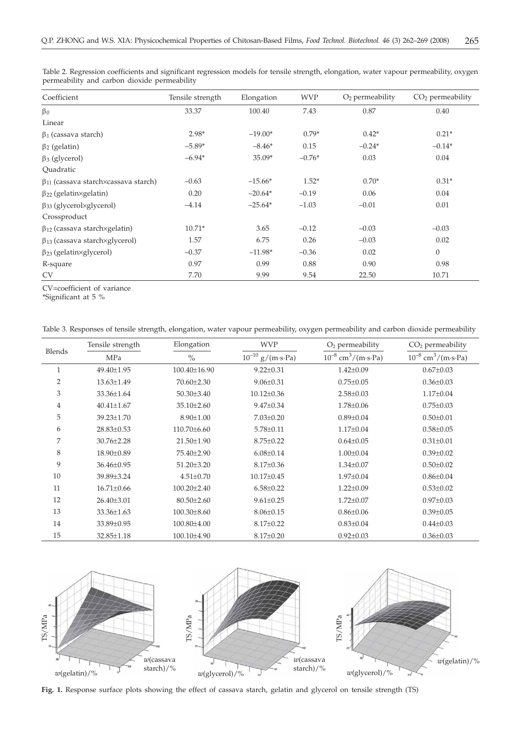| Coefficient                                  | Tensile strength | Elongation | <b>WVP</b> | $O2$ permeability | $CO2$ permeability |
|----------------------------------------------|------------------|------------|------------|-------------------|--------------------|
| $\beta_0$                                    | 33.37            | 100.40     | 7.43       | 0.87              | 0.40               |
| Linear                                       |                  |            |            |                   |                    |
| $\beta_1$ (cassava starch)                   | $2.98*$          | $-19.00*$  | $0.79*$    | $0.42*$           | $0.21*$            |
| $\beta_2$ (gelatin)                          | $-5.89*$         | $-8.46*$   | 0.15       | $-0.24*$          | $-0.14*$           |
| $\beta_3$ (glycerol)                         | $-6.94*$         | 35.09*     | $-0.76*$   | 0.03              | 0.04               |
| Ouadratic                                    |                  |            |            |                   |                    |
| $\beta_{11}$ (cassava starch×cassava starch) | $-0.63$          | $-15.66*$  | $1.52*$    | $0.70*$           | $0.31*$            |
| $\beta_{22}$ (gelatin×gelatin)               | 0.20             | $-20.64*$  | $-0.19$    | 0.06              | 0.04               |
| $\beta_{33}$ (glycerolxglycerol)             | $-4.14$          | $-25.64*$  | $-1.03$    | $-0.01$           | 0.01               |
| Crossproduct                                 |                  |            |            |                   |                    |
| $\beta_{12}$ (cassava starch×gelatin)        | $10.71*$         | 3.65       | $-0.12$    | $-0.03$           | $-0.03$            |
| $\beta_{13}$ (cassava starch×glycerol)       | 1.57             | 6.75       | 0.26       | $-0.03$           | 0.02               |
| $\beta_{23}$ (gelatin×glycerol)              | $-0.37$          | $-11.98*$  | $-0.36$    | 0.02              | $\boldsymbol{0}$   |
| R-square                                     | 0.97             | 0.99       | 0.88       | 0.90              | 0.98               |
| <b>CV</b>                                    | 7.70             | 9.99       | 9.54       | 22.50             | 10.71              |

Table 2. Regression coefficients and significant regression models for tensile strength, elongation, water vapour permeability, oxygen permeability and carbon dioxide permeability

CV=coefficient of variance

\*Significant at 5 %

|  | Table 3. Responses of tensile strength, elongation, water vapour permeability, oxygen permeability and carbon dioxide permeability |  |  |
|--|------------------------------------------------------------------------------------------------------------------------------------|--|--|
|  |                                                                                                                                    |  |  |

|              | Tensile strength | Elongation        | <b>WVP</b>               | $O2$ permeability                   | $CO2$ permeability                  |
|--------------|------------------|-------------------|--------------------------|-------------------------------------|-------------------------------------|
| Blends       | MPa              | $\frac{0}{0}$     | $10^{-10}$<br>g/(m·s·Pa) | $10^{-8}$ cm <sup>3</sup> /(m·s·Pa) | $10^{-8}$ cm <sup>3</sup> /(m·s·Pa) |
| $\mathbf{1}$ | 49.40±1.95       | 100.40±16.90      | $9.22 \pm 0.31$          | $1.42 \pm 0.09$                     | $0.67 \pm 0.03$                     |
| 2            | $13.63 \pm 1.49$ | $70.60 \pm 2.30$  | $9.06 \pm 0.31$          | $0.75 \pm 0.05$                     | $0.36 \pm 0.03$                     |
| 3            | 33.36±1.64       | $50.30 \pm 3.40$  | $10.12 \pm 0.36$         | $2.58 \pm 0.03$                     | $1.17 \pm 0.04$                     |
| 4            | $40.41 \pm 1.67$ | $35.10 \pm 2.60$  | $9.47 \pm 0.34$          | $1.78 \pm 0.06$                     | $0.75 \pm 0.03$                     |
| 5            | $39.23 \pm 1.70$ | $8.90 \pm 1.00$   | $7.03 \pm 0.20$          | $0.89 \pm 0.04$                     | $0.50 \pm 0.01$                     |
| 6            | 28.83±0.53       | $110.70\pm 6.60$  | $5.78 \pm 0.11$          | $1.17 \pm 0.04$                     | $0.58 \pm 0.05$                     |
| 7            | $30.76 \pm 2.28$ | 21.50±1.90        | $8.75 \pm 0.22$          | $0.64 \pm 0.05$                     | $0.31 \pm 0.01$                     |
| 8            | 18.90±0.89       | 75.40±2.90        | $6.08 \pm 0.14$          | $1.00 \pm 0.04$                     | $0.39 \pm 0.02$                     |
| 9            | $36.46 \pm 0.95$ | $51.20 \pm 3.20$  | $8.17 \pm 0.36$          | $1.34 \pm 0.07$                     | $0.50 \pm 0.02$                     |
| 10           | 39.89±3.24       | $4.51 \pm 0.70$   | $10.17 \pm 0.45$         | $1.97 \pm 0.04$                     | $0.86 \pm 0.04$                     |
| 11           | $16.71 \pm 0.66$ | $100.20 \pm 2.40$ | $6.58 \pm 0.22$          | $1.22 \pm 0.09$                     | $0.53 \pm 0.02$                     |
| 12           | $26.40\pm3.01$   | $80.50 \pm 2.60$  | $9.61 \pm 0.25$          | $1.72 \pm 0.07$                     | $0.97 \pm 0.03$                     |
| 13           | 33.36±1.63       | $100.30 \pm 8.60$ | $8.06 \pm 0.15$          | $0.86 \pm 0.06$                     | $0.39 \pm 0.05$                     |
| 14           | 33.89±0.95       | 100.80±4.00       | $8.17 \pm 0.22$          | $0.83 \pm 0.04$                     | $0.44 \pm 0.03$                     |
| 15           | 32.85±1.18       | 100.10±4.90       | $8.17 \pm 0.20$          | $0.92 \pm 0.03$                     | $0.36 \pm 0.03$                     |



**Fig. 1.** Response surface plots showing the effect of cassava starch, gelatin and glycerol on tensile strength (TS)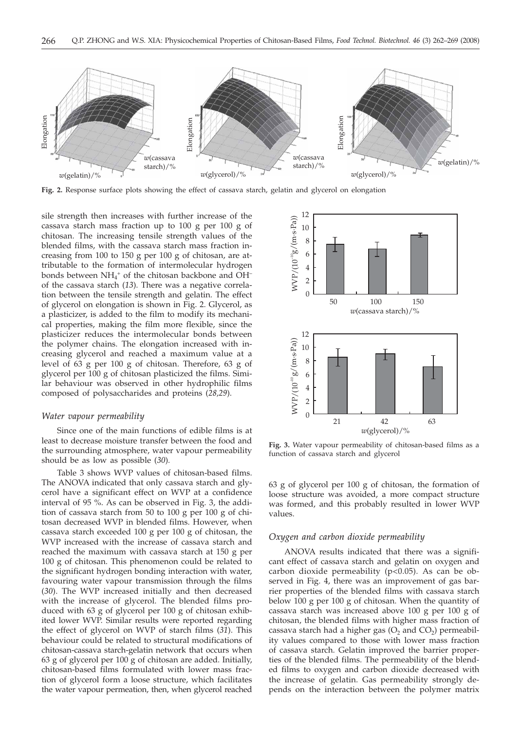

**Fig. 2.** Response surface plots showing the effect of cassava starch, gelatin and glycerol on elongation

sile strength then increases with further increase of the cassava starch mass fraction up to 100 g per 100 g of chitosan. The increasing tensile strength values of the blended films, with the cassava starch mass fraction increasing from 100 to 150 g per 100 g of chitosan, are attributable to the formation of intermolecular hydrogen bonds between  $NH_4^+$  of the chitosan backbone and OH<sup>-</sup> of the cassava starch (*13*). There was a negative correlation between the tensile strength and gelatin. The effect of glycerol on elongation is shown in Fig. 2. Glycerol, as a plasticizer, is added to the film to modify its mechanical properties, making the film more flexible, since the plasticizer reduces the intermolecular bonds between the polymer chains. The elongation increased with increasing glycerol and reached a maximum value at a level of 63 g per 100 g of chitosan. Therefore, 63 g of glycerol per 100 g of chitosan plasticized the films. Similar behaviour was observed in other hydrophilic films composed of polysaccharides and proteins (*28,29*).

#### *Water vapour permeability*

Since one of the main functions of edible films is at least to decrease moisture transfer between the food and the surrounding atmosphere, water vapour permeability should be as low as possible (*30*)*.*

Table 3 shows WVP values of chitosan-based films. The ANOVA indicated that only cassava starch and glycerol have a significant effect on WVP at a confidence interval of 95 %. As can be observed in Fig. 3, the addition of cassava starch from 50 to 100 g per 100 g of chitosan decreased WVP in blended films. However, when cassava starch exceeded 100 g per 100 g of chitosan, the WVP increased with the increase of cassava starch and reached the maximum with cassava starch at 150 g per 100 g of chitosan. This phenomenon could be related to the significant hydrogen bonding interaction with water, favouring water vapour transmission through the films (*30*). The WVP increased initially and then decreased with the increase of glycerol. The blended films produced with 63 g of glycerol per 100 g of chitosan exhibited lower WVP. Similar results were reported regarding the effect of glycerol on WVP of starch films (*31*). This behaviour could be related to structural modifications of chitosan-cassava starch-gelatin network that occurs when 63 g of glycerol per 100 g of chitosan are added. Initially, chitosan-based films formulated with lower mass fraction of glycerol form a loose structure, which facilitates the water vapour permeation, then, when glycerol reached



**Fig. 3.** Water vapour permeability of chitosan-based films as a function of cassava starch and glycerol

63 g of glycerol per 100 g of chitosan, the formation of loose structure was avoided, a more compact structure was formed, and this probably resulted in lower WVP values.

## *Oxygen and carbon dioxide permeability*

ANOVA results indicated that there was a significant effect of cassava starch and gelatin on oxygen and carbon dioxide permeability (p<0.05). As can be observed in Fig. 4, there was an improvement of gas barrier properties of the blended films with cassava starch below 100 g per 100 g of chitosan. When the quantity of cassava starch was increased above 100 g per 100 g of chitosan, the blended films with higher mass fraction of cassava starch had a higher gas  $(O_2$  and  $CO_2)$  permeability values compared to those with lower mass fraction of cassava starch. Gelatin improved the barrier properties of the blended films. The permeability of the blended films to oxygen and carbon dioxide decreased with the increase of gelatin. Gas permeability strongly depends on the interaction between the polymer matrix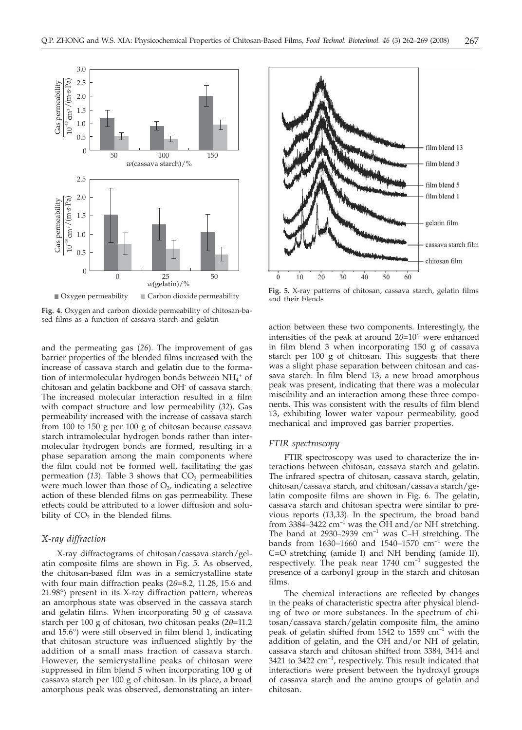

**Fig. 4.** Oxygen and carbon dioxide permeability of chitosan-based films as a function of cassava starch and gelatin

and the permeating gas (*26*). The improvement of gas barrier properties of the blended films increased with the increase of cassava starch and gelatin due to the formation of intermolecular hydrogen bonds between NH<sub>4</sub><sup>+</sup> of chitosan and gelatin backbone and OH- of cassava starch. The increased molecular interaction resulted in a film with compact structure and low permeability (*32*). Gas permeability increased with the increase of cassava starch from 100 to 150 g per 100 g of chitosan because cassava starch intramolecular hydrogen bonds rather than intermolecular hydrogen bonds are formed, resulting in a phase separation among the main components where the film could not be formed well, facilitating the gas permeation  $(13)$ . Table 3 shows that  $CO<sub>2</sub>$  permeabilities were much lower than those of  $O<sub>2</sub>$ , indicating a selective action of these blended films on gas permeability. These effects could be attributed to a lower diffusion and solubility of  $CO<sub>2</sub>$  in the blended films.

# *X-ray diffraction*

X-ray diffractograms of chitosan/cassava starch/gelatin composite films are shown in Fig. 5. As observed, the chitosan-based film was in a semicrystalline state with four main diffraction peaks (2*q*=8.2, 11.28, 15.6 and 21.98°) present in its X-ray diffraction pattern, whereas an amorphous state was observed in the cassava starch and gelatin films. When incorporating 50 g of cassava starch per 100 g of chitosan, two chitosan peaks (2*q*=11.2 and 15.6°) were still observed in film blend 1, indicating that chitosan structure was influenced slightly by the addition of a small mass fraction of cassava starch. However, the semicrystalline peaks of chitosan were suppressed in film blend 5 when incorporating 100 g of cassava starch per 100 g of chitosan. In its place, a broad amorphous peak was observed, demonstrating an inter-



**Fig. 5.** X-ray patterns of chitosan, cassava starch, gelatin films and their blends

action between these two components. Interestingly, the intensities of the peak at around  $2\theta = 10^{\circ}$  were enhanced in film blend 3 when incorporating 150 g of cassava starch per 100 g of chitosan. This suggests that there was a slight phase separation between chitosan and cassava starch. In film blend 13, a new broad amorphous peak was present, indicating that there was a molecular miscibility and an interaction among these three components. This was consistent with the results of film blend 13, exhibiting lower water vapour permeability, good mechanical and improved gas barrier properties.

# *FTIR spectroscopy*

FTIR spectroscopy was used to characterize the interactions between chitosan, cassava starch and gelatin. The infrared spectra of chitosan, cassava starch, gelatin, chitosan/cassava starch, and chitosan/cassava starch/gelatin composite films are shown in Fig. 6. The gelatin, cassava starch and chitosan spectra were similar to previous reports (*13,33*). In the spectrum, the broad band from 3384–3422  $\text{cm}^{-1}$  was the OH and/or NH stretching. The band at  $2930-2939$   $cm^{-1}$  was C-H stretching. The bands from 1630-1660 and 1540-1570  $cm^{-1}$  were the C=O stretching (amide I) and NH bending (amide II), respectively. The peak near  $1740 \text{ cm}^{-1}$  suggested the presence of a carbonyl group in the starch and chitosan films.

The chemical interactions are reflected by changes in the peaks of characteristic spectra after physical blending of two or more substances. In the spectrum of chitosan/cassava starch/gelatin composite film, the amino peak of gelatin shifted from 1542 to 1559  $cm^{-1}$  with the addition of gelatin, and the OH and/or NH of gelatin, cassava starch and chitosan shifted from 3384, 3414 and 3421 to 3422  $cm^{-1}$ , respectively. This result indicated that interactions were present between the hydroxyl groups of cassava starch and the amino groups of gelatin and chitosan.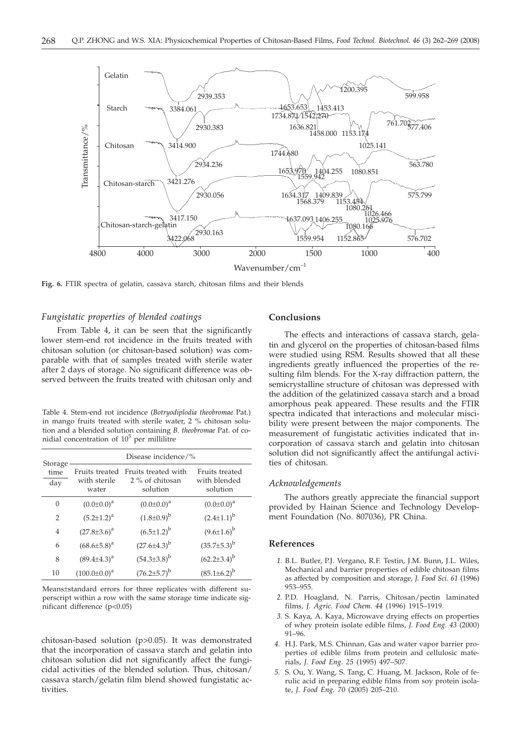

**Fig. 6.** FTIR spectra of gelatin, cassava starch, chitosan films and their blends

# *Fungistatic properties of blended coatings*

From Table 4, it can be seen that the significantly lower stem-end rot incidence in the fruits treated with chitosan solution (or chitosan-based solution) was comparable with that of samples treated with sterile water after 2 days of storage. No significant difference was observed between the fruits treated with chitosan only and

Table 4. Stem-end rot incidence (*Botryodiplodia theobromae* Pat.) in mango fruits treated with sterile water, 2 % chitosan solution and a blended solution containing *B. theobromae* Pat. of conidial concentration of  $10^5$  per millilitre

|                        | Disease incidence/%                     |                                                    |                                            |  |  |
|------------------------|-----------------------------------------|----------------------------------------------------|--------------------------------------------|--|--|
| Storage<br>time<br>day | Fruits treated<br>with sterile<br>water | Fruits treated with<br>2 % of chitosan<br>solution | Fruits treated<br>with blended<br>solution |  |  |
| $\Omega$               | $(0.0 \pm 0.0)^a$                       | $(0.0 \pm 0.0)^a$                                  | $(0.0 \pm 0.0)^a$                          |  |  |
| $\overline{2}$         | $(5.2 \pm 1.2)^a$                       | $(1.8 \pm 0.9)^{b}$                                | $(2.4 \pm 1.1)^{b}$                        |  |  |
| $\overline{4}$         | $(27.8 \pm 3.6)^a$                      | $(6.5 \pm 1.2)^{b}$                                | $(9.6 \pm 1.6)^{b}$                        |  |  |
| 6                      | $(68.6 \pm 5.8)^a$                      | $(27.6 \pm 4.3)^{b}$                               | $(35.7 \pm 5.3)^b$                         |  |  |
| 8                      | $(89.4 \pm 4.3)^a$                      | $(54.3\pm3.8)^b$                                   | $(62.2\pm3.4)^{b}$                         |  |  |
| 10                     | $(100.0 \pm 0.0)^a$                     | $(76.2 \pm 5.7)^b$                                 | $(85.1 \pm 6.2)^b$                         |  |  |

Means±standard errors for three replicates with different superscript within a row with the same storage time indicate significant difference (p<0.05)

chitosan-based solution (p>0.05). It was demonstrated that the incorporation of cassava starch and gelatin into chitosan solution did not significantly affect the fungicidal activities of the blended solution. Thus, chitosan/ cassava starch/gelatin film blend showed fungistatic activities.

# **Conclusions**

The effects and interactions of cassava starch, gelatin and glycerol on the properties of chitosan-based films were studied using RSM. Results showed that all these ingredients greatly influenced the properties of the resulting film blends. For the X-ray diffraction pattern, the semicrystalline structure of chitosan was depressed with the addition of the gelatinized cassava starch and a broad amorphous peak appeared. These results and the FTIR spectra indicated that interactions and molecular miscibility were present between the major components. The measurement of fungistatic activities indicated that incorporation of cassava starch and gelatin into chitosan solution did not significantly affect the antifungal activities of chitosan.

#### *Acknowledgements*

The authors greatly appreciate the financial support provided by Hainan Science and Technology Development Foundation (No. 807036), PR China.

## **References**

- *1.* B.L. Butler, P.J. Vergano, R.F. Testin, J.M. Bunn, J.L. Wiles, Mechanical and barrier properties of edible chitosan films as affected by composition and storage, *J. Food Sci. 61* (1996) 953–955.
- *2.* P.D. Hoagland, N. Parris, Chitosan/pectin laminated films, *J. Agric. Food Chem. 44* (1996) 1915–1919.
- *3.* S. Kaya, A. Kaya, Microwave drying effects on properties of whey protein isolate edible films, *J. Food Eng. 43* (2000) 91–96.
- *4.* H.J. Park, M.S. Chinnan, Gas and water vapor barrier properties of edible films from protein and cellulosic materials, *J. Food Eng. 25* (1995) 497–507.
- *5.* S. Ou, Y. Wang, S. Tang, C. Huang, M. Jackson, Role of ferulic acid in preparing edible films from soy protein isolate, *J. Food Eng. 70* (2005) 205–210.